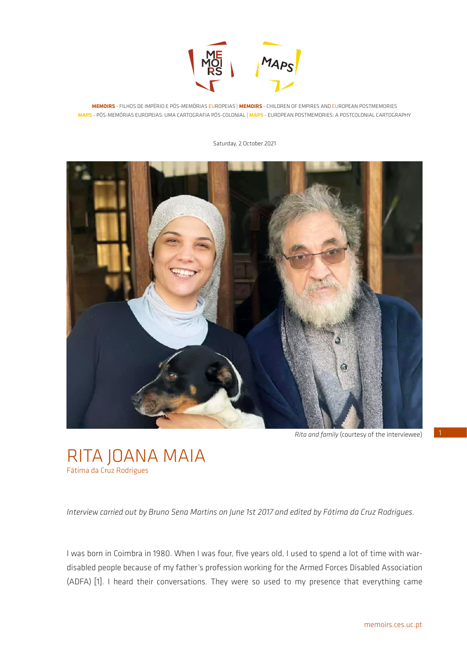

**MEMOIRS** - FILHOS DE IMPÉRIO E PÓS-MEMÓRIAS EUROPEIAS | **MEMOIRS** - CHILDREN OF EMPIRES AND EUROPEAN POSTMEMORIES **MAPS** - PÓS-MEMÓRIAS EUROPEIAS: UMA CARTOGRAFIA PÓS-COLONIAL | **MAPS** - EUROPEAN POSTMEMORIES: A POSTCOLONIAL CARTOGRAPHY

Saturday, 2 October 2021



*Rita and family* (courtesy of the interviewee)

RITA JOANA MAIA Fátima da Cruz Rodrigues

*Interview carried out by Bruno Sena Martins on June 1st 2017 and edited by Fátima da Cruz Rodrigues.*

I was born in Coimbra in 1980. When I was four, five years old, I used to spend a lot of time with wardisabled people because of my father's profession working for the Armed Forces Disabled Association (ADFA) [1]. I heard their conversations. They were so used to my presence that everything came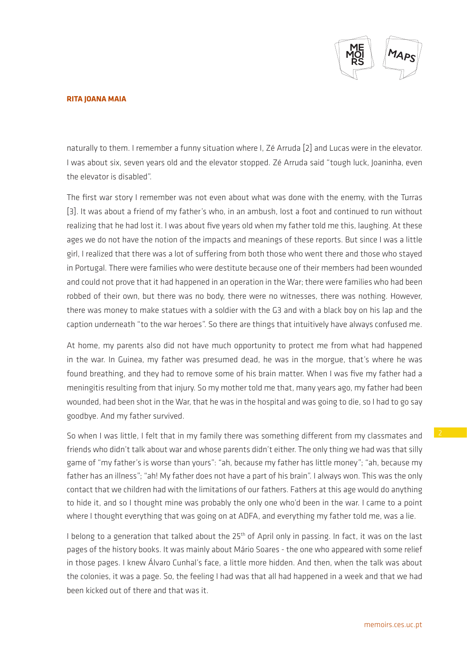

## **RITA JOANA MAIA**

naturally to them. I remember a funny situation where I, Zé Arruda [2] and Lucas were in the elevator. I was about six, seven years old and the elevator stopped. Zé Arruda said "tough luck, Joaninha, even the elevator is disabled".

The first war story I remember was not even about what was done with the enemy, with the Turras [3]. It was about a friend of my father's who, in an ambush, lost a foot and continued to run without realizing that he had lost it. I was about five years old when my father told me this, laughing. At these ages we do not have the notion of the impacts and meanings of these reports. But since I was a little girl, I realized that there was a lot of suffering from both those who went there and those who stayed in Portugal. There were families who were destitute because one of their members had been wounded and could not prove that it had happened in an operation in the War; there were families who had been robbed of their own, but there was no body, there were no witnesses, there was nothing. However, there was money to make statues with a soldier with the G3 and with a black boy on his lap and the caption underneath "to the war heroes". So there are things that intuitively have always confused me.

At home, my parents also did not have much opportunity to protect me from what had happened in the war. In Guinea, my father was presumed dead, he was in the morgue, that's where he was found breathing, and they had to remove some of his brain matter. When I was five my father had a meningitis resulting from that injury. So my mother told me that, many years ago, my father had been wounded, had been shot in the War, that he was in the hospital and was going to die, so I had to go say goodbye. And my father survived.

So when I was little, I felt that in my family there was something different from my classmates and friends who didn't talk about war and whose parents didn't either. The only thing we had was that silly game of "my father's is worse than yours": "ah, because my father has little money"; "ah, because my father has an illness"; "ah! My father does not have a part of his brain". I always won. This was the only contact that we children had with the limitations of our fathers. Fathers at this age would do anything to hide it, and so I thought mine was probably the only one who'd been in the war. I came to a point where I thought everything that was going on at ADFA, and everything my father told me, was a lie.

I belong to a generation that talked about the 25<sup>th</sup> of April only in passing. In fact, it was on the last pages of the history books. It was mainly about Mário Soares - the one who appeared with some relief in those pages. I knew Álvaro Cunhal's face, a little more hidden. And then, when the talk was about the colonies, it was a page. So, the feeling I had was that all had happened in a week and that we had been kicked out of there and that was it.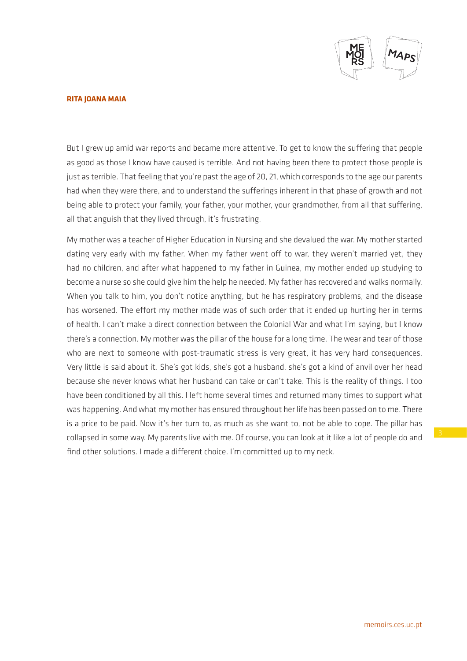

## **RITA JOANA MAIA**

But I grew up amid war reports and became more attentive. To get to know the suffering that people as good as those I know have caused is terrible. And not having been there to protect those people is just as terrible. That feeling that you're past the age of 20, 21, which corresponds to the age our parents had when they were there, and to understand the sufferings inherent in that phase of growth and not being able to protect your family, your father, your mother, your grandmother, from all that suffering, all that anguish that they lived through, it's frustrating.

My mother was a teacher of Higher Education in Nursing and she devalued the war. My mother started dating very early with my father. When my father went off to war, they weren't married yet, they had no children, and after what happened to my father in Guinea, my mother ended up studying to become a nurse so she could give him the help he needed. My father has recovered and walks normally. When you talk to him, you don't notice anything, but he has respiratory problems, and the disease has worsened. The effort my mother made was of such order that it ended up hurting her in terms of health. I can't make a direct connection between the Colonial War and what I'm saying, but I know there's a connection. My mother was the pillar of the house for a long time. The wear and tear of those who are next to someone with post-traumatic stress is very great, it has very hard consequences. Very little is said about it. She's got kids, she's got a husband, she's got a kind of anvil over her head because she never knows what her husband can take or can't take. This is the reality of things. I too have been conditioned by all this. I left home several times and returned many times to support what was happening. And what my mother has ensured throughout her life has been passed on to me. There is a price to be paid. Now it's her turn to, as much as she want to, not be able to cope. The pillar has collapsed in some way. My parents live with me. Of course, you can look at it like a lot of people do and find other solutions. I made a different choice. I'm committed up to my neck.